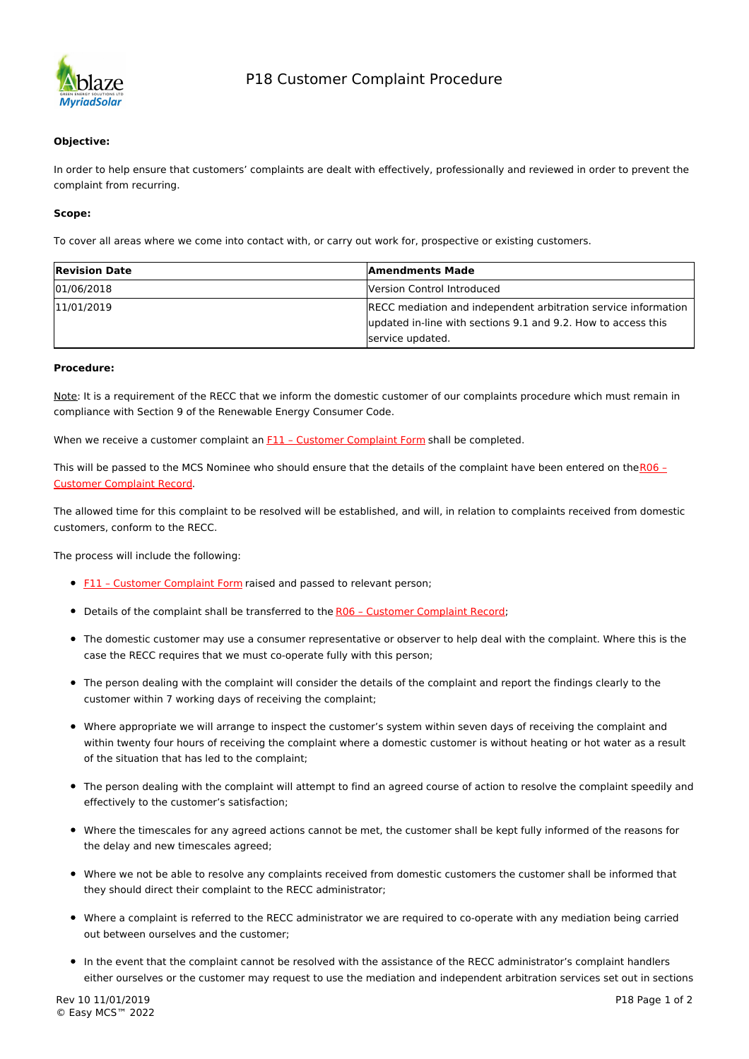

### **Objective:**

In order to help ensure that customers' complaints are dealt with effectively, professionally and reviewed in order to prevent the complaint from recurring.

#### **Scope:**

To cover all areas where we come into contact with, or carry out work for, prospective or existing customers.

| <b>Revision Date</b> | <b>Amendments Made</b>                                         |
|----------------------|----------------------------------------------------------------|
| 01/06/2018           | Version Control Introduced                                     |
| 11/01/2019           | RECC mediation and independent arbitration service information |
|                      | updated in-line with sections 9.1 and 9.2. How to access this  |
|                      | service updated.                                               |

#### **Procedure:**

Note: It is a requirement of the RECC that we inform the domestic customer of our complaints procedure which must remain in compliance with Section 9 of the Renewable Energy Consumer Code.

When we receive a customer complaint an F11 - Customer Complaint Form shall be completed.

This will be passed to the MCS Nominee who should ensure that the details of the complaint have been entered on theR06 -Customer Complaint Record.

The allowed time for this complaint to be resolved will be established, and will, in relation to complaints received from domestic customers, conform to the RECC.

The process will include the following:

- **F11 Customer Complaint Form** raised and passed to relevant person;
- Details of the complaint shall be transferred to the R06 Customer Complaint Record;
- The domestic customer may use a consumer representative or observer to help deal with the complaint. Where this is the case the RECC requires that we must co-operate fully with this person;
- The person dealing with the complaint will consider the details of the complaint and report the findings clearly to the customer within 7 working days of receiving the complaint;
- Where appropriate we will arrange to inspect the customer's system within seven days of receiving the complaint and within twenty four hours of receiving the complaint where a domestic customer is without heating or hot water as a result of the situation that has led to the complaint;
- The person dealing with the complaint will attempt to find an agreed course of action to resolve the complaint speedily and effectively to the customer's satisfaction;
- Where the timescales for any agreed actions cannot be met, the customer shall be kept fully informed of the reasons for the delay and new timescales agreed;
- Where we not be able to resolve any complaints received from domestic customers the customer shall be informed that they should direct their complaint to the RECC administrator;
- Where a complaint is referred to the RECC administrator we are required to co-operate with any mediation being carried out between ourselves and the customer;
- In the event that the complaint cannot be resolved with the assistance of the RECC administrator's complaint handlers either ourselves or the customer may request to use the mediation and independent arbitration services set out in sections